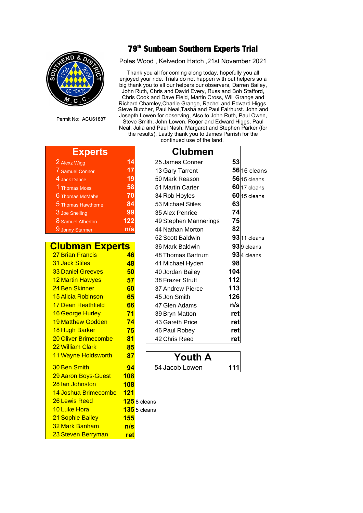

Permit No: ACU61887

## **th Sunbeam Southern Experts Trial**

Poles Wood , Kelvedon Hatch ,21st November 2021

Thank you all for coming along today, hopefully you all enjoyed your ride. Trials do not happen with out helpers so a big thank you to all our helpers our observers, Darren Bailey, John Ruth, Chris and David Every, Russ and Bob Stafford, Chris Cook and Dave Field, Martin Cross, Will Grange and Richard Chamley,Charlie Grange, Rachel and Edward Higgs, Steve Butcher, Paul Neal,Tasha and Paul Fairhurst. John and Josepth Lowen for observing, Also to John Ruth, Paul Owen, Steve Smith, John Lowen, Roger and Edward Higgs, Paul Neal, Julia and Paul Nash, Margaret and Stephen Parker (for the results), Lastly thank you to James Parrish for the

continued use of the land.

┑

| $\mathcal{L}(\mathcal{L})$ and $\mathcal{L}(\mathcal{L})$ and $\mathcal{L}(\mathcal{L})$<br>.,<br>$\mathcal{L}^{\text{max}}_{\text{max}}$ and $\mathcal{L}^{\text{max}}_{\text{max}}$ and $\mathcal{L}^{\text{max}}_{\text{max}}$ and $\mathcal{L}^{\text{max}}_{\text{max}}$ |                                                                                                                                                                                                            | . .                                                                                      | <b>Contract Contract Contract Contract Contract Contract Contract Contract Contract Contract Contract Contract Co</b> |                                                                                                                |
|-------------------------------------------------------------------------------------------------------------------------------------------------------------------------------------------------------------------------------------------------------------------------------|------------------------------------------------------------------------------------------------------------------------------------------------------------------------------------------------------------|------------------------------------------------------------------------------------------|-----------------------------------------------------------------------------------------------------------------------|----------------------------------------------------------------------------------------------------------------|
|                                                                                                                                                                                                                                                                               | and the state of the state of the state of the state of the state of the state of the state of the state of th<br>$\mathcal{L}(\mathcal{L})$ and $\mathcal{L}(\mathcal{L})$ and $\mathcal{L}(\mathcal{L})$ | $\mathcal{L}(\mathcal{L})$ and $\mathcal{L}(\mathcal{L})$ and $\mathcal{L}(\mathcal{L})$ |                                                                                                                       | and the state of the state of the state of the state of the state of the state of the state of the state of th |

| 2 Alexz Wigg       |    |
|--------------------|----|
| 7 Samuel Connor    |    |
| 4 Jack Dance       |    |
| 1 Thomas Moss      | 5  |
| 6 Thomas McMabe    | 7  |
| 5 Thomas Hawthorne | 8  |
| 3 Joe Snelling     | 9  |
| 8 Samuel Atherton  | 12 |
| 9 Jonny Starmer    |    |

## **Clubman Experts**

| <b>27 Brian Francis</b>     | 46         |
|-----------------------------|------------|
| <b>31 Jack Stiles</b>       | 48         |
| <b>33 Daniel Greeves</b>    | 50         |
| <b>12 Martin Hawyes</b>     | 57         |
| 24 Ben Skinner              | 60         |
| <b>15 Alicia Robinson</b>   | 65         |
| 17 Dean Heathfield          | 66         |
| 16 George Hurley            | 71         |
| <b>19 Matthew Godden</b>    | 74         |
| 18 Hugh Barker              | 75         |
| <b>20 Oliver Brimecombe</b> | 81         |
| <b>22 William Clark</b>     | 85         |
| 11 Wayne Holdsworth         | 87         |
| 30 Ben Smith                | 94         |
| 29 Aaron Boys-Guest         | 108        |
| 28 Ian Johnston             | 108        |
| 14 Joshua Brimecombe 121    |            |
| 26 Lewis Reed               | 125        |
| 10 Luke Hora                | 135        |
| <b>21 Sophie Bailey</b>     | 155        |
| 32 Mark Banham              | n/s        |
| 23 Steven Berryman          | <u>ret</u> |

| <b>Experts</b>              |     | <b>Clubmen</b>        |            |                 |
|-----------------------------|-----|-----------------------|------------|-----------------|
| 2 Alexz Wigg                | 14  | 25 James Conner       | 53         |                 |
| 7 Samuel Connor             | 17  | 13 Gary Tarrent       |            | 56 16 cleans    |
| 4 Jack Dance                | 19  | 50 Mark Reason        |            | $56$ 15 cleans  |
| 1 Thomas Moss               | 58  | 51 Martin Carter      |            | $60$ 17 cleans  |
| 6 Thomas McMabe             | 70  | 34 Rob Hoyles         |            | $60$ 15 cleans  |
| 5 Thomas Hawthorne          | 84  | 53 Michael Stiles     | 63         |                 |
| 3 Joe Snelling              | 99  | 35 Alex Penrice       | 74         |                 |
| 8 Samuel Atherton           | 122 | 49 Stephen Mannerings | 75         |                 |
| 9 Jonny Starmer             | n/s | 44 Nathan Morton      | 82         |                 |
|                             |     | 52 Scott Baldwin      |            | $93$ 11 cleans  |
| <b>Clubman Experts</b>      |     | 36 Mark Baldwin       |            | $93$ $9$ cleans |
| <b>27 Brian Francis</b>     | 46  | 48 Thomas Bartrum     |            | $93$ 4 cleans   |
| <b>31 Jack Stiles</b>       | 48  | 41 Michael Hyden      | 98         |                 |
| <b>33 Daniel Greeves</b>    | 50  | 40 Jordan Bailey      | 104        |                 |
| <b>12 Martin Hawyes</b>     | 57  | 38 Frazer Strutt      | 112        |                 |
| 24 Ben Skinner              | 60  | 37 Andrew Pierce      | 113        |                 |
| <b>15 Alicia Robinson</b>   | 65  | 45 Jon Smith          | 126        |                 |
| 17 Dean Heathfield          | 66  | 47 Glen Adams         | n/s        |                 |
| 16 George Hurley            | 71  | 39 Bryn Matton        | <u>ret</u> |                 |
| <b>19 Matthew Godden</b>    | 74  | 43 Gareth Price       | ret        |                 |
| 18 Hugh Barker              | 75  | 46 Paul Robey         | ret        |                 |
| <b>20 Oliver Brimecombe</b> | 81  | 42 Chris Reed         | <u>ret</u> |                 |
| 22 William Clark            | 85  |                       |            |                 |



 $\overline{\mathbf{5}}$ 8 cleans

<mark>15</mark>5 cleans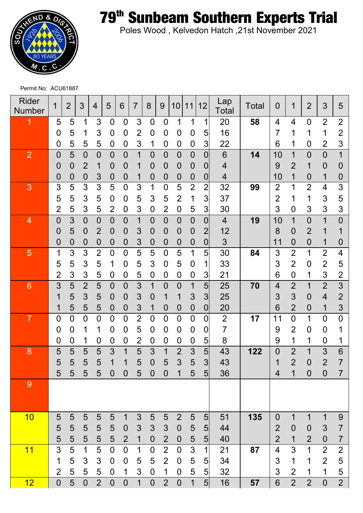

**th Sunbeam Southern Experts Trial**

Poles Wood , Kelvedon Hatch ,21st November 2021

Permit No: ACU61887

| <b>Rider</b><br><b>Number</b> | 1              | $\overline{2}$ | 3                | 4              | 5                | 6              | 7                       | 8              | 9                | 10             | $\mathbf{1}$<br>1 | 12             | Lap<br>Total   | Total | 0              | 1              | $\overline{2}$   | 3                | 5              |
|-------------------------------|----------------|----------------|------------------|----------------|------------------|----------------|-------------------------|----------------|------------------|----------------|-------------------|----------------|----------------|-------|----------------|----------------|------------------|------------------|----------------|
|                               | 5              | 5              | 1                | 3              | 0                | $\overline{0}$ | 3                       | $\overline{0}$ | $\overline{0}$   | 1              | 1                 | 1              | 20             | 58    | 4              | 4              | $\overline{0}$   | $\overline{2}$   | $\overline{2}$ |
|                               | 0              | 5              | 1                | 3              | 0                | 0              | $\overline{2}$          | 0              | 0                | 0              | 0                 | 5              | 16             |       |                | 1              | 1                | 1                | $\overline{2}$ |
|                               | 0              | 5              | 5                | 5              | $\boldsymbol{0}$ | 0              | 3                       | 1              | $\mathbf 0$      | 0              | 0                 | 3              | 22             |       | 6              | 1              | 0                | $\overline{2}$   | 3              |
| $\overline{2}$                | $\overline{0}$ | 5              | $\overline{0}$   | $\overline{0}$ | $\overline{0}$   | $\overline{0}$ | $\overline{\mathbf{1}}$ | $\overline{0}$ | $\overline{0}$   | $\overline{0}$ | $\overline{0}$    | 0              | 6              | 14    | 10             | 1              | $\overline{0}$   | $\overline{0}$   | $\overline{1}$ |
|                               | $\overline{0}$ | 0              | $\overline{2}$   |                | 0                | 0              | 1                       | 0              | $\bf{0}$         | 0              | 0                 | 0              | 4              |       | 9              | $\overline{2}$ | 1                | $\overline{0}$   | $\overline{0}$ |
|                               | $\mathbf 0$    | 0              | 0                | 3              | $\mathsf{O}$     | 0              | 1                       | $\overline{0}$ | $\mathbf 0$      | 0              | $\overline{0}$    | 0              | 4              |       | 10             | 1              | $\mathbf 0$      | $\mathbf 1$      | $\bf{0}$       |
| 3                             | 3              | 5              | 3                | 3              | 5                | $\overline{0}$ | 3                       | 1              | $\overline{0}$   | 5              | $\overline{2}$    | $\overline{2}$ | 32             | 99    | 2              | 1              | $\overline{2}$   | 4                | 3              |
|                               | 5              | 5              | 3                | 5              | 0                | $\overline{0}$ | 5                       | 3              | 5                | $\overline{2}$ | 1                 | 3              | 37             |       | $\overline{2}$ | 1              | 1                | 3                | 5              |
|                               | $\overline{2}$ | 5              | 3                | 5              | $\overline{2}$   | $\mathbf 0$    | 3                       | $\overline{0}$ | $\overline{2}$   | 0              | 5                 | 3              | 30             |       | 3              | $\overline{0}$ | 3                | 3                | 3              |
| $\overline{4}$                | $\mathbf 0$    | 3              | $\overline{0}$   | $\overline{0}$ | $\overline{0}$   | $\overline{0}$ | 1                       | $\overline{0}$ | $\overline{0}$   | $\overline{0}$ | $\overline{0}$    | $\overline{0}$ | $\overline{4}$ | 19    | 10             | $\overline{1}$ | $\overline{0}$   | 1                | $\overline{0}$ |
|                               | 0              | 5              | $\mathbf 0$      | 2              | 0                | 0              | 3                       | $\mathbf 0$    | $\boldsymbol{0}$ | 0              | 0                 | $\overline{2}$ | 12             |       | 8              | 0              | $\overline{2}$   |                  |                |
|                               | $\mathbf 0$    | 0              | $\boldsymbol{0}$ | 0              | $\mathbf 0$      | $\mathbf 0$    | 3                       | $\overline{0}$ | $\mathbf 0$      | 0              | $\overline{0}$    | 0              | 3              |       | 11             | 0              | $\overline{0}$   | 1                | $\bf{0}$       |
| 5                             | 1              | 3              | 3                | $\overline{2}$ | $\overline{0}$   | $\overline{0}$ | 5                       | 5              | $\overline{0}$   | 5              | 1                 | 5              | 30             | 84    | 3              | $\overline{2}$ | 1                | $\overline{2}$   | 4              |
|                               | 5              | 5              | 3                | 5              | 1                | $\overline{0}$ | 5                       | 3              | $\boldsymbol{0}$ | 5              | 0                 | 1              | 33             |       | 3              | $\overline{2}$ | $\boldsymbol{0}$ | $\overline{2}$   | 5              |
|                               | $\overline{2}$ | 3              | 3                | 5              | 0                | 0              | 5                       | $\mathbf 0$    | $\mathbf 0$      | 0              | $\mathbf 0$       | 3              | 21             |       | 6              | $\mathbf 0$    | 1                | 3                | $\overline{2}$ |
| $6\phantom{1}6$               | 3              | 5              | $\overline{2}$   | 5              | $\overline{0}$   | $\overline{0}$ | $\overline{3}$          | 1              | $\overline{0}$   | $\overline{0}$ | $\overline{1}$    | 5              | 25             | 70    | 4              | $\overline{2}$ | $\overline{1}$   | $\overline{2}$   | 3              |
|                               | 1              | 5              | 3                | 5              | 0                | $\mathbf 0$    | 3                       | 0              | 1                |                | 3                 | 3              | 25             |       | 3              | 3              | $\mathbf 0$      | $\overline{4}$   | $\overline{2}$ |
|                               | 1              | 5              | 5                | 5              | $\mathbf 0$      | $\mathbf 0$    | 3                       | 1              | $\mathbf 0$      | 0              | $\mathbf 0$       | $\mathbf 0$    | 20             |       | 6              | $\overline{2}$ | $\mathbf 0$      | 1                | 3              |
| $\overline{7}$                | 0              | $\overline{0}$ | $\overline{0}$   | $\overline{0}$ | $\overline{0}$   | $\overline{0}$ | $\overline{2}$          | $\overline{0}$ | $\overline{0}$   | 0              | $\overline{0}$    | 0              | $\overline{2}$ | 17    | 11             | $\overline{0}$ | 1                | $\overline{0}$   | $\overline{0}$ |
|                               | 0              | 0              | 1                | 1              | 0                | 0              | 5                       | $\mathbf 0$    | $\overline{0}$   | 0              | 0                 | 0              | 7              |       | 9              | $\overline{2}$ | $\boldsymbol{0}$ | $\overline{0}$   |                |
|                               | 0              | 0              | 1                | 0              | 0                | 0              | $\overline{2}$          | 0              | $\mathbf 0$      | 0              | $\mathbf 0$       | 5              | 8              |       | 9              | 1              | 1                | $\mathbf 0$      |                |
| 8                             | 5              | 5              | 5                | 5              | 3                | 1              | $\overline{5}$          | 3              | 1                | $\overline{2}$ | 3                 | 5 <sup>1</sup> | 43             | 122   | $\overline{0}$ | $\overline{2}$ | 1                | 3                | 6              |
|                               | 5              | 5              | 5                | 5              | 1                | 1              | 5                       | 0              | 5                | 3              | 5                 | 3              | 43             |       |                | $\overline{2}$ | $\overline{0}$   | $\overline{2}$   | 7              |
|                               | 5              | 5              | 5                | 5              | $\overline{0}$   | $\overline{0}$ | 5                       | $\overline{0}$ | $\overline{0}$   | 1              | 5                 | 5              | 36             |       | 4              | 1              | $\overline{0}$   | $\overline{0}$   | 7              |
| $\overline{9}$                |                |                |                  |                |                  |                |                         |                |                  |                |                   |                |                |       |                |                |                  |                  |                |
|                               |                |                |                  |                |                  |                |                         |                |                  |                |                   |                |                |       |                |                |                  |                  |                |
| 10                            | 5              | 5              | 5                | 5              | 5                | $\mathbf 1$    | $\mathfrak{S}$          | 5              | 5                | $\overline{2}$ | 5                 | 5 <sub>l</sub> | 51             | 135   | $\overline{0}$ | $\mathbf 1$    | $\mathbf{1}$     | 1                | 9              |
|                               | 5              | 5              | $\overline{5}$   | 5              | 5                | $\theta$       | $\mathfrak{S}$          | 3              | $\mathfrak{S}$   | $\mathbf 0$    | 5                 | 5              | 44             |       | $\overline{2}$ | $\mathbf 0$    | $\boldsymbol{0}$ | $\mathfrak{S}$   | $\overline{7}$ |
|                               | 5              | 5              | 5                | 5              | 5                | $\overline{2}$ | $\mathbf 1$             | $\mathbf 0$    | $\overline{2}$   | $\mathbf 0$    | 5                 | 5 <sup>2</sup> | 40             |       | $\overline{2}$ | $\mathbf 1$    | $\overline{2}$   | $\boldsymbol{0}$ | $\overline{7}$ |
| 11                            | 3              | 5              | $\mathbf 1$      | 5              | $\mathbf 0$      | $\mathbf 0$    | 1                       | $\mathbf 0$    | $\overline{2}$   | $\mathbf 0$    | $\overline{3}$    | 1              | 21             | 87    | $\overline{4}$ | 3              | $\overline{1}$   | $\overline{2}$   | $\mathbf{2}$   |
|                               | 1              | 5              | $\mathfrak{S}$   | 3              | $\mathbf 0$      | $\mathbf 0$    | 5                       | 5              | $\overline{2}$   | $\mathbf 0$    | 5                 | 5 <sub>l</sub> | 34             |       | 3              | 1              | $\mathbf 1$      | $\overline{2}$   | 5              |
|                               | $\overline{2}$ | 5              | 5                | 5              | $\mathbf 0$      | 1              | $\mathsf 3$             | $\mathbf 0$    | $\mathbf 1$      | $\mathbf 0$    | 5                 | $\overline{5}$ | 32             |       | 3              | $\overline{2}$ | 1                | 1                | $\sqrt{5}$     |
| 12                            | $\mathbf 0$    | 5              | $\mathbf 0$      | $\overline{2}$ | $\overline{0}$   | $\mathbf 0$    | $\overline{1}$          | $\overline{0}$ | $\overline{2}$   | $\mathbf 0$    | $\overline{1}$    | $5\vert$       | 16             | 57    | 6              | $\overline{2}$ | $\overline{2}$   | $\overline{0}$   | $\overline{2}$ |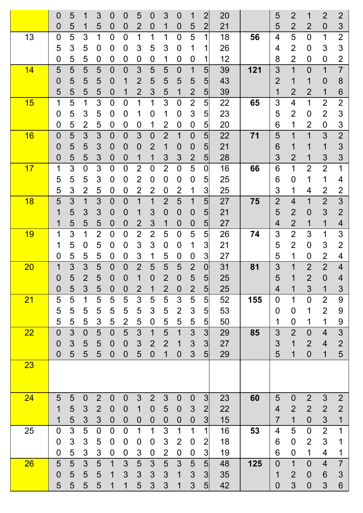|           | $\overline{0}$ | 5 | 1              | 3              | $\overline{0}$   | 0              | 5                | 0                | 3              | 0              | 1                | $\overline{2}$  | 20 |     | 5              | $\overline{2}$   | 1              | $\overline{2}$ | $\overline{2}$ |
|-----------|----------------|---|----------------|----------------|------------------|----------------|------------------|------------------|----------------|----------------|------------------|-----------------|----|-----|----------------|------------------|----------------|----------------|----------------|
|           | 0              | 5 | 1              | 5              | 0                | 0              | $\overline{2}$   | 0                | 1              | $\overline{0}$ | 5                | $\overline{2}$  | 21 |     | 5              | $\overline{2}$   | $\overline{2}$ | $\overline{0}$ | 3              |
| 13        | $\overline{0}$ | 5 | 3              | 1              | $\overline{0}$   | 0              | 1                | 1                | 1              | 0              | 5                | 1               | 18 | 56  | 4              | 5                | $\mathbf 0$    | 1              | $\overline{2}$ |
|           | 5              | 3 | 5              | 0              | 0                | 0              | 3                | 5                | 3              | 0              | 1                | 1               | 26 |     | 4              | $\overline{2}$   | $\overline{0}$ | 3              | 3              |
|           | 0              | 5 | 5              | 0              | 0                | 0              | 0                | 0                | 1              | 0              | 0                | 1               | 12 |     | 8              | $\overline{2}$   | $\overline{0}$ | $\overline{0}$ | $\overline{2}$ |
| 14        | 5              | 5 | 5              | 5              | $\overline{0}$   | $\overline{0}$ | 3                | 5                | 5              | 0              | 1                | 5 <sup>1</sup>  | 39 | 121 | 3              | $\mathbf 1$      | $\overline{0}$ | 1              | $\overline{7}$ |
|           | 0              | 5 | 5              | 5              | $\overline{0}$   | 1              | $\overline{2}$   | 5                | 5              | 5              | 5                | 5               | 43 |     | $\overline{2}$ | 1                | 1              | 0              | 8              |
|           | 5              | 5 | 5              | 5              | $\overline{0}$   | 1              | $\overline{2}$   | 3                | 5              | 1              | $\overline{2}$   | $5\overline{)}$ | 39 |     |                | $\overline{2}$   | $\overline{2}$ | 1              | 6              |
| 15        | 1              | 5 | 1              | 3              | $\overline{0}$   | 0              | 1                | 1                | 3              | 0              | $\overline{2}$   | 5 <sup>1</sup>  | 22 | 65  | 3              | $\overline{4}$   | 1              | $\overline{2}$ | $\overline{2}$ |
|           | 0              | 5 | 3              | 5              | 0                | 0              | 1                | $\overline{0}$   | 1              | 0              | 3                | 5 <sup>1</sup>  | 23 |     | 5              | $\overline{2}$   | $\mathbf 0$    | $\overline{2}$ | 3              |
|           | 0              | 5 | $\overline{2}$ | 5              | 0                | 0              | $\mathbf 0$      | 1                | 2              | 0              | 0                | 5               | 20 |     | 6              | 1                | $\overline{2}$ | 0              | 3              |
| 16        | 0              | 5 | 3              | 3              | $\overline{0}$   | $\overline{0}$ | 3                | $\overline{0}$   | $\overline{2}$ | 1              | $\overline{0}$   | 5 <sup>1</sup>  | 22 | 71  | 5              | 1                | 1              | 3              | $\overline{2}$ |
|           | 0              | 5 | 5              | 3              | $\mathbf 0$      | 0              | $\mathbf 0$      | 2                | 1              | $\overline{0}$ | $\mathbf 0$      | 5 <sub>5</sub>  | 21 |     | 6              | 1                | 1              | 1              | 3              |
|           | 0              | 5 | 5              | 3              | $\overline{0}$   | 0              | 1                | 1                | 3              | 3              | $\overline{2}$   | 5 <sub>5</sub>  | 28 |     | 3              | $\overline{2}$   | 1              | 3              | 3              |
| 17        | 1              | 3 | $\overline{0}$ | 3              | $\overline{0}$   | 0              | $\overline{2}$   | $\overline{0}$   | $\overline{2}$ | $\overline{0}$ | 5                | $\overline{0}$  | 16 | 66  | 6              | 1                | $\overline{2}$ | $\overline{2}$ | 1              |
|           | 5              | 5 | 5              | 3              | 0                | 0              | $\overline{2}$   | 0                | $\overline{0}$ | 0              | 0                | $5\overline{)}$ | 25 |     | 6              | $\boldsymbol{0}$ | 1              | 1              | 4              |
|           | 5              | 3 | $\overline{2}$ | 5              | 0                | 0              | $\overline{2}$   | 2                | $\mathbf 0$    | $\overline{2}$ | 1                | 3               | 25 |     | 3              | 1                | 4              | $\overline{2}$ | 2              |
| 18        | 5              | 3 | 1              | 3              | $\overline{0}$   | 0              | 1                | 1                | $\overline{2}$ | 5              | 1                | 5 <sub>5</sub>  | 27 | 75  | $\overline{2}$ | $\overline{4}$   | 1              | $\overline{2}$ | 3              |
|           | 1              | 5 | 3              | 3              | $\overline{0}$   | 0              | 1                | 3                | $\overline{0}$ | $\overline{0}$ | $\boldsymbol{0}$ | 5 <sub>5</sub>  | 21 |     | 5              | $\overline{2}$   | $\mathbf 0$    | 3              | $\overline{2}$ |
|           | 1              | 5 | 5              | 5              | 0                | 0              | $\overline{2}$   | 3                | 1              | $\overline{0}$ | $\boldsymbol{0}$ | 5 <sub>5</sub>  | 27 |     | 4              | $\overline{2}$   | 1              | 1              | 4              |
| <b>19</b> | 1              | 3 | 1              | $\overline{2}$ | $\overline{0}$   | 0              | $\overline{2}$   | $\overline{2}$   | 5              | 0              | 5                | 5 <sup>1</sup>  | 26 | 74  | 3              | $\overline{2}$   | 3              | 1              | 3              |
|           | 1              | 5 | 0              | 5              | 0                | 0              | 3                | 3                | 0              | 0              | 1                | 3               | 21 |     | 5              | $\overline{2}$   | 0              | 3              | $\overline{2}$ |
|           | 0              | 5 | 5              | 5              | 0                | 0              | 3                | 1                | 5              | 0              | 0                | 3               | 27 |     | 5              | 1                | 0              | $\overline{2}$ | 4              |
| <b>20</b> | 1              | 3 | 3              | 5              | $\overline{0}$   | 0              | $\overline{2}$   | 5                | 5              | 5              | $\overline{2}$   | $\overline{0}$  | 31 | 81  | 3              | 1                | $\overline{2}$ | $\overline{2}$ | 4              |
|           | $\mathbf 0$    | 5 | $\overline{2}$ | 5              | $\overline{0}$   | 0              | 1                | 0                | 2              | $\overline{0}$ | 5                | 5 <sub>l</sub>  | 25 |     | 5              | 1                | $\overline{2}$ | $\overline{0}$ | 4              |
|           | $\mathbf 0$    | 5 | 3              | 5              | $\mathbf 0$      | 0              | $\overline{2}$   | 1                | $\overline{2}$ | 0              | $\overline{2}$   | 5 <sub>l</sub>  | 25 |     | 4              | 1                | 3              | 1              | 3              |
| 21        | 5              | 5 | 1              | 5              | 5                | 5              | 3                | 5                | 5              | 3              | 5                | 5 <sup>1</sup>  | 52 | 155 | $\overline{0}$ | 1                | $\mathbf 0$    | $\overline{2}$ | 9              |
|           | 5              | 5 | 5              | 5              | 5                | 5              | 5                | 3                | 5              | $\overline{2}$ | $\mathfrak{S}$   | 5 <sub>l</sub>  | 53 |     | 0              | $\boldsymbol{0}$ | 1              | $\overline{2}$ | 9              |
|           | 5              | 5 | 5              | 3              | 5                | $\overline{2}$ | 5                | $\mathbf 0$      | 5              | 5              | 5                | $5 \vert$       | 50 |     | 1              | $\overline{0}$   | 1              | 1              | 9              |
| 22        | $\overline{0}$ | 3 | $\mathbf 0$    | 5              | $\overline{0}$   | 5              | 3                | 1                | 5              | 1              | 3                | 3               | 29 | 85  | 3              | $\overline{2}$   | $\overline{0}$ | 4              | 3              |
|           | $\overline{0}$ | 3 | 5              | 5              | $\mathbf 0$      | $\mathbf 0$    | 3                | $\overline{2}$   | $\overline{2}$ | 1              | 3                | 3               | 27 |     | 3              | 1                | $\overline{2}$ | $\overline{4}$ | $\overline{2}$ |
|           | $\overline{0}$ | 5 | 5              | 5              | $\mathbf 0$      | 0              | 5                | $\overline{0}$   | 1              | $\overline{0}$ | 3                | 5 <sub>l</sub>  | 29 |     | 5              | 1                | $\mathbf 0$    | 1              | 5              |
| 23        |                |   |                |                |                  |                |                  |                  |                |                |                  |                 |    |     |                |                  |                |                |                |
|           |                |   |                |                |                  |                |                  |                  |                |                |                  |                 |    |     |                |                  |                |                |                |
|           |                |   |                |                |                  |                |                  |                  |                |                |                  |                 |    |     |                |                  |                |                |                |
| 24        | 5              | 5 | $\overline{0}$ | $\overline{2}$ | $\overline{0}$   | $\overline{0}$ | 3                | $\overline{2}$   | 3              | $\overline{0}$ | $\mathbf 0$      | 3               | 23 | 60  | 5              | $\mathbf 0$      | $\overline{2}$ | 3              | $\overline{2}$ |
|           | 1              | 5 | 3              | $\overline{2}$ | $\mathbf 0$      | $\overline{0}$ | 1                | $\theta$         | 5              | $\mathbf 0$    | 3                | $\overline{2}$  | 22 |     | 4              | $\overline{2}$   | $\overline{2}$ | $\overline{2}$ | $\overline{2}$ |
|           | 1              | 5 | 3              | 3              | $\boldsymbol{0}$ | $\mathbf 0$    | $\boldsymbol{0}$ | $\mathbf 0$      | $\mathbf 0$    | $\mathbf 0$    | $\mathbf 0$      | $\overline{3}$  | 15 |     | 7              | $\mathbf 1$      | $\overline{0}$ | 3              | 1              |
| 25        | 0              | 3 | 5              | $\mathbf 0$    | $\overline{0}$   | $\overline{0}$ | 1                | 1                | 3              | 1              | 1                | $\mathbf{1}$    | 16 | 53  | 4              | 5                | $\mathbf 0$    | $\overline{2}$ | 1              |
|           | 0              | 3 | 3              | 5              | $\boldsymbol{0}$ | 0              | $\boldsymbol{0}$ | $\boldsymbol{0}$ | $\mathfrak{S}$ | $\overline{2}$ | $\boldsymbol{0}$ | $\overline{2}$  | 18 |     | 6              | $\boldsymbol{0}$ | $\overline{2}$ | 3              | 1              |
|           | $\overline{0}$ | 5 | 3              | 3              | 0                | 0              | $\mathfrak{S}$   | $\mathbf 0$      | $\overline{2}$ | $\mathbf 0$    | $\boldsymbol{0}$ | 3               | 19 |     | 6              | $\overline{0}$   | 1              | $\overline{4}$ | 1              |
| 26        | 5              | 5 | 3              | 5              | 1                | 3              | 5                | 3                | 5              | 3              | 5                | 5 <sup>1</sup>  | 48 | 125 | $\overline{0}$ | $\mathbf 1$      | $\overline{0}$ | $\overline{4}$ | $\overline{7}$ |
|           | $\overline{0}$ | 5 | 5              | 5              | 1                | 3              | 3                | 3                | 3              | 1              | 3                | 3               | 35 |     | 1              | $\overline{2}$   | $\overline{0}$ | 6              | 3              |
|           | 5              | 5 | 5              | 5              | 1                | 1              | 5                | 3                | 3              |                | 3                | 5 <sub>l</sub>  | 42 |     | 0              | 3                | $\overline{0}$ | 3              | $6\phantom{1}$ |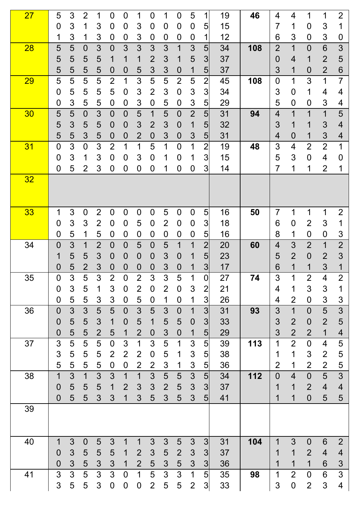| 27 | 5                | 3      | $\overline{2}$ | 1              | 0                                | $\mathbf 0$         | 1                   | 0                   | 1              | $\overline{0}$   | 5                   | 1                                 | 19       | 46  | 4              | 4                   | 1                | 1                                | $\overline{2}$          |
|----|------------------|--------|----------------|----------------|----------------------------------|---------------------|---------------------|---------------------|----------------|------------------|---------------------|-----------------------------------|----------|-----|----------------|---------------------|------------------|----------------------------------|-------------------------|
|    | $\mathbf 0$      | 3      |                | 3              | $\mathbf 0$                      | 0                   | 3                   | 0                   | $\mathbf 0$    | $\boldsymbol{0}$ | $\mathbf 0$         | 5                                 | 15       |     | 7              | 1                   | $\overline{0}$   | 3                                | 1                       |
|    | 1                | 3      | 1              | 3              | 0                                | $\boldsymbol{0}$    | 3                   | 0                   | $\mathbf 0$    | 0                | 0                   | 1                                 | 12       |     | 6              | 3                   | $\mathbf 0$      | 3                                | $\boldsymbol{0}$        |
| 28 | 5                | 5      | $\overline{0}$ | 3              | $\overline{0}$                   | 3                   | 3                   | 3                   | 3              | 1                | 3                   | 5                                 | 34       | 108 | $\overline{2}$ | $\overline{1}$      | $\mathbf 0$      | $6\phantom{1}$                   | 3                       |
|    | 5                | 5      | 5              | 5              | 1                                | 1                   | 1                   | $\overline{2}$      | 3              | 1                | 5                   | 3                                 | 37       |     | $\mathbf 0$    | 4                   | 1                | $\overline{2}$                   | 5                       |
|    | 5                | 5      | 5              | 5              | 0                                | 0                   | 5                   | 3                   | 3              | $\mathbf 0$      | 1                   | $5\overline{)}$                   | 37       |     | 3              | 1                   | $\mathbf 0$      | $\overline{2}$                   | 6                       |
| 29 | 5                | 5      | 5              | 5              | $\overline{2}$                   | 1                   | 3                   | 5                   | 5              | $\overline{2}$   | 5                   | $\overline{2}$                    | 45       | 108 | $\overline{0}$ | 1                   | 3                | 1                                | 7                       |
|    | $\mathbf 0$      | 5      | 5              | 5              | 5                                | $\mathbf 0$         | 3                   | $\overline{2}$      | 3              | $\mathbf 0$      | $\mathfrak{S}$      | 3                                 | 34       |     | 3              | $\mathbf 0$         | 1                | 4                                | 4                       |
|    | 0                | 3      | 5              | 5              | 0                                | 0                   | 3                   | 0                   | 5              | $\mathbf 0$      | $\mathfrak{S}$      | 5                                 | 29       |     | 5              | $\mathbf 0$         | $\mathbf 0$      | 3                                | 4                       |
| 30 | 5                | 5      | $\overline{0}$ | 3              | $\overline{0}$                   | $\overline{0}$      | 5                   | 1                   | $\overline{5}$ | $\mathbf 0$      | $\overline{2}$      | $\overline{5}$                    | 31       | 94  | 4              | $\overline{1}$      | 1                | 1                                | 5                       |
|    | 5                | 3      | 5              | 5              | 0                                | 0                   | 3                   | $\overline{2}$      | 3              | $\mathbf 0$      | 1                   | $5\overline{)}$                   | 32       |     | 3              | 1                   | 1                | 3                                | 4                       |
|    | 5                | 5      | 3              | 5              | 0                                | 0                   | $\overline{2}$      | 0                   | 3              | $\mathbf 0$      | 3                   | 5                                 | 31       |     | 4              | $\overline{0}$      | 1                | 3                                | 4                       |
| 31 | $\overline{0}$   | 3      | $\overline{0}$ | 3              | $\overline{2}$                   | 1                   | 1                   | 5                   | 1              | $\overline{0}$   | 1                   | $\overline{2}$                    | 19       | 48  | 3              | 4                   | $\overline{2}$   | $\overline{2}$                   | 1                       |
|    | $\overline{0}$   | 3      | 1              | 3              | 0                                | 0                   | 3                   | 0                   | 1              | $\overline{0}$   | 1                   | 3                                 | 15       |     | 5              | 3                   | $\boldsymbol{0}$ | 4                                | 0                       |
|    | 0                | 5      | $\overline{2}$ | 3              | 0                                | 0                   | 0                   | 0                   | 1              | $\mathbf 0$      | $\mathbf 0$         | 3                                 | 14       |     | 7              | 1                   | 1                | $\overline{2}$                   | 1                       |
| 32 |                  |        |                |                |                                  |                     |                     |                     |                |                  |                     |                                   |          |     |                |                     |                  |                                  |                         |
| 33 | 1                | 3      | $\overline{0}$ | $\overline{2}$ | 0                                | $\overline{0}$      | $\mathbf 0$         | $\overline{0}$      | 5              | $\mathbf 0$      | $\mathbf 0$         | 5                                 | 16       | 50  | 7              | 1                   | 1                | 1                                | $\overline{2}$          |
|    | $\mathbf 0$      | 3      | 3              | $\overline{2}$ | 0                                | 0                   | 5                   | 0                   | $\overline{2}$ | $\overline{0}$   | $\mathbf 0$         | 3                                 | 18       |     | 6              | $\mathbf 0$         | $\overline{2}$   | 3                                | 1                       |
|    | 0                | 5      | 1              | 5              | 0                                | 0                   | $\mathbf 0$         | 0                   | $\mathbf 0$    | 0                | $\mathbf 0$         | 5                                 | 16       |     | 8              | 1                   | $\boldsymbol{0}$ | $\overline{0}$                   | 3                       |
| 34 | 0                | 3      | 1              | $\overline{2}$ | $\overline{0}$                   | $\overline{0}$      | 5                   | $\overline{0}$      | 5              | 1                | 1                   | $\overline{2}$                    | 20       | 60  | 4              | 3                   | $\overline{2}$   | 1                                | $\overline{2}$          |
|    | 1                | 5      | 5              | 3              | $\mathbf 0$                      | 0                   | $\mathbf 0$         | 0                   | 3              | $\mathbf 0$      | 1                   | 5                                 | 23       |     | 5              | $\overline{2}$      | $\mathbf 0$      | $\overline{2}$                   | 3                       |
|    | 0                | 5      | $\overline{2}$ | 3              | 0                                | 0                   | $\mathbf 0$         | 0                   | 3              | $\mathbf 0$      | 1                   | 3                                 | 17       |     | 6              | 1                   | 1                | 3                                | 1                       |
| 35 | $\overline{0}$   | 3      | 5              | 3              | $\overline{2}$                   | 0                   | $\overline{2}$      | 3                   | 3              | 5                | 1                   | $\mathbf 0$                       | 27       | 74  | 3              | 1                   | $\overline{2}$   | 4                                | $\overline{2}$          |
|    | 0                | 3      | 5              | 1              | 3                                | $\boldsymbol{0}$    | $\overline{2}$      | $\mathbf 0$         | $\overline{2}$ | $\mathbf 0$      | 3                   | $\overline{2}$                    | 21       |     | 4              | 1                   | 3                | 3                                | 1                       |
|    | $\mathbf 0$      | 5      | 5              | 3              | 3                                | $\overline{0}$      | 5                   | $\overline{0}$      | 1              | $\mathbf 0$      | 1                   | $\mathbf{3}$                      | 26       |     | 4              | $\overline{2}$      | $\mathbf 0$      | 3                                | 3                       |
| 36 | $\overline{0}$   | 3      | 3              | 5              | 5                                | $\mathbf 0$         | 3                   | 5                   | $\mathfrak{S}$ | $\mathbf 0$      | $\mathbf 1$         | $\overline{3}$                    | 31       | 93  | 3              | $\overline{1}$      | $\mathbf 0$      | 5                                | 3                       |
|    | $\overline{0}$   | 5      | 5              | 3              | 1                                | $\overline{0}$      | 5                   | 1                   | 5              | 5                | $\mathbf 0$         | $\overline{3}$                    | 33       |     | 3              | $\overline{2}$      | $\mathbf 0$      | $\overline{2}$                   | 5                       |
|    | $\overline{0}$   | 5      | 5              | $\overline{2}$ | 5                                | 1                   | $\overline{2}$      | 0                   | 3              | $\overline{0}$   | 1                   | 5 <sup>1</sup>                    | 29       |     | 3              | $\overline{2}$      | $\overline{2}$   | $\overline{1}$                   | $\overline{\mathbf{4}}$ |
| 37 | 3<br>3           | 5<br>5 | 5<br>5         | 5              | $\overline{0}$<br>$\overline{2}$ | 3                   | 1<br>$\overline{2}$ | 3                   | 5<br>5         | 1                | $\mathfrak{S}$      | 5                                 | 39       | 113 | 1              | $\overline{2}$<br>1 | $\mathbf 0$<br>3 | $\overline{4}$<br>$\overline{2}$ | 5                       |
|    | 5                | 5      | 5              | 5<br>5         | 0                                | $\overline{2}$<br>0 | $\overline{2}$      | 0<br>$\overline{2}$ | $\mathfrak{S}$ | 1<br>1           | $\mathfrak{S}$<br>3 | $\overline{5}$<br>$5\overline{)}$ | 38<br>36 |     | 1<br>2         | 1                   | $\overline{2}$   | $\overline{2}$                   | 5<br>5                  |
| 38 | 1                | 3      | 1              | 3              | 3                                | 1                   | 1                   | 3                   | 5              | 5                | $\mathfrak{S}$      | 5                                 | 34       | 112 | $\overline{0}$ | $\overline{4}$      | $\mathbf 0$      | 5                                | $\overline{3}$          |
|    | $\boldsymbol{0}$ | 5      | 5              | 5              | 1                                | $\overline{2}$      | 3                   | 3                   | $\overline{2}$ | 5                | $\mathfrak{S}$      | $\overline{3}$                    | 37       |     | 1              | 1                   | $\overline{2}$   | $\overline{\mathbf{4}}$          | $\overline{\mathbf{4}}$ |
|    | $\overline{0}$   | 5      | 5              | 3              | 3                                | 1                   | 3                   | 5                   | 3              | 5                | 3                   | 5 <sub>l</sub>                    | 41       |     | 1              | 1                   | $\mathbf 0$      | 5                                | 5                       |
| 39 |                  |        |                |                |                                  |                     |                     |                     |                |                  |                     |                                   |          |     |                |                     |                  |                                  |                         |
|    |                  |        |                |                |                                  |                     |                     |                     |                |                  |                     |                                   |          |     |                |                     |                  |                                  |                         |
| 40 | 1                | 3      | $\overline{0}$ | 5              | 3                                | 1                   | 1                   | 3                   | 3              | 5                | 3                   | 3                                 | 31       | 104 | 1              | 3                   | $\mathbf 0$      | 6                                | $\overline{2}$          |
|    | $\overline{0}$   | 3      | 5              | 5              | 5                                | 1                   | $\overline{2}$      | 3                   | 5              | $\overline{2}$   | $\mathfrak{S}$      | 3                                 | 37       |     | 1              | 1                   | $\overline{2}$   | $\overline{4}$                   | $\overline{\mathbf{4}}$ |
|    | 0                | 3      | 5              | 3              | 3                                | 1                   | $\overline{2}$      | 5                   | 3              | 5                | 3                   | 3                                 | 36       |     | 1              | 1                   | 1                | 6                                | 3                       |
| 41 | 3                | 3      | 5              | 3              | 3                                | $\overline{0}$      | 1                   | 5                   | 3              | 3                | 1                   | 5 <sup>1</sup>                    | 35       | 98  | 1              | $\overline{2}$      | $\boldsymbol{0}$ | 6                                | 3                       |
|    | 3                | 5      | 5              | 3              | 0                                | 0                   | 0                   | $\overline{2}$      | 5              | 5                | $\overline{2}$      | 3                                 | 33       |     | 3              | $\mathbf 0$         | $\overline{2}$   | 3                                | 4                       |